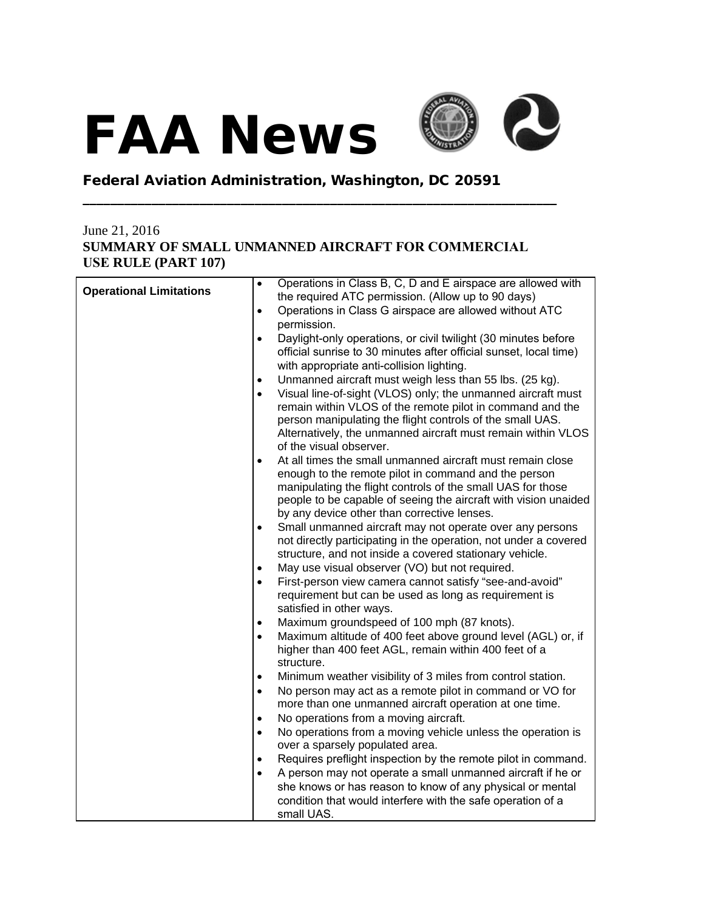## FAA News



## Federal Aviation Administration, Washington, DC 20591

## June 21, 2016 **SUMMARY OF SMALL UNMANNED AIRCRAFT FOR COMMERCIAL USE RULE (PART 107)**

**\_\_\_\_\_\_\_\_\_\_\_\_\_\_\_\_\_\_\_\_\_\_\_\_\_\_\_\_\_\_\_\_\_\_\_\_\_\_\_\_\_\_\_\_\_\_\_\_\_\_\_\_\_\_\_\_\_\_\_\_\_\_\_\_\_\_\_\_\_**

| Operations in Class G airspace are allowed without ATC<br>$\bullet$<br>permission.<br>Daylight-only operations, or civil twilight (30 minutes before<br>$\bullet$<br>official sunrise to 30 minutes after official sunset, local time)<br>with appropriate anti-collision lighting.<br>Unmanned aircraft must weigh less than 55 lbs. (25 kg).<br>٠<br>Visual line-of-sight (VLOS) only; the unmanned aircraft must<br>$\bullet$<br>remain within VLOS of the remote pilot in command and the<br>person manipulating the flight controls of the small UAS.<br>Alternatively, the unmanned aircraft must remain within VLOS<br>of the visual observer.<br>At all times the small unmanned aircraft must remain close<br>$\bullet$<br>enough to the remote pilot in command and the person<br>manipulating the flight controls of the small UAS for those<br>people to be capable of seeing the aircraft with vision unaided<br>by any device other than corrective lenses.<br>Small unmanned aircraft may not operate over any persons<br>$\bullet$<br>not directly participating in the operation, not under a covered<br>structure, and not inside a covered stationary vehicle.<br>May use visual observer (VO) but not required.<br>$\bullet$<br>First-person view camera cannot satisfy "see-and-avoid"<br>$\bullet$<br>requirement but can be used as long as requirement is<br>satisfied in other ways.<br>Maximum groundspeed of 100 mph (87 knots).<br>$\bullet$<br>Maximum altitude of 400 feet above ground level (AGL) or, if<br>$\bullet$<br>higher than 400 feet AGL, remain within 400 feet of a<br>structure.<br>Minimum weather visibility of 3 miles from control station.<br>$\bullet$<br>No person may act as a remote pilot in command or VO for<br>$\bullet$<br>more than one unmanned aircraft operation at one time.<br>No operations from a moving aircraft.<br>$\bullet$<br>No operations from a moving vehicle unless the operation is<br>$\bullet$<br>over a sparsely populated area.<br>Requires preflight inspection by the remote pilot in command.<br>٠<br>A person may not operate a small unmanned aircraft if he or<br>$\bullet$<br>she knows or has reason to know of any physical or mental<br>condition that would interfere with the safe operation of a |                                | Operations in Class B, C, D and E airspace are allowed with<br>$\bullet$ |
|------------------------------------------------------------------------------------------------------------------------------------------------------------------------------------------------------------------------------------------------------------------------------------------------------------------------------------------------------------------------------------------------------------------------------------------------------------------------------------------------------------------------------------------------------------------------------------------------------------------------------------------------------------------------------------------------------------------------------------------------------------------------------------------------------------------------------------------------------------------------------------------------------------------------------------------------------------------------------------------------------------------------------------------------------------------------------------------------------------------------------------------------------------------------------------------------------------------------------------------------------------------------------------------------------------------------------------------------------------------------------------------------------------------------------------------------------------------------------------------------------------------------------------------------------------------------------------------------------------------------------------------------------------------------------------------------------------------------------------------------------------------------------------------------------------------------------------------------------------------------------------------------------------------------------------------------------------------------------------------------------------------------------------------------------------------------------------------------------------------------------------------------------------------------------------------------------------------------------------------------------------------------------------------------|--------------------------------|--------------------------------------------------------------------------|
|                                                                                                                                                                                                                                                                                                                                                                                                                                                                                                                                                                                                                                                                                                                                                                                                                                                                                                                                                                                                                                                                                                                                                                                                                                                                                                                                                                                                                                                                                                                                                                                                                                                                                                                                                                                                                                                                                                                                                                                                                                                                                                                                                                                                                                                                                                | <b>Operational Limitations</b> | the required ATC permission. (Allow up to 90 days)                       |
|                                                                                                                                                                                                                                                                                                                                                                                                                                                                                                                                                                                                                                                                                                                                                                                                                                                                                                                                                                                                                                                                                                                                                                                                                                                                                                                                                                                                                                                                                                                                                                                                                                                                                                                                                                                                                                                                                                                                                                                                                                                                                                                                                                                                                                                                                                |                                |                                                                          |
|                                                                                                                                                                                                                                                                                                                                                                                                                                                                                                                                                                                                                                                                                                                                                                                                                                                                                                                                                                                                                                                                                                                                                                                                                                                                                                                                                                                                                                                                                                                                                                                                                                                                                                                                                                                                                                                                                                                                                                                                                                                                                                                                                                                                                                                                                                |                                |                                                                          |
|                                                                                                                                                                                                                                                                                                                                                                                                                                                                                                                                                                                                                                                                                                                                                                                                                                                                                                                                                                                                                                                                                                                                                                                                                                                                                                                                                                                                                                                                                                                                                                                                                                                                                                                                                                                                                                                                                                                                                                                                                                                                                                                                                                                                                                                                                                |                                |                                                                          |
|                                                                                                                                                                                                                                                                                                                                                                                                                                                                                                                                                                                                                                                                                                                                                                                                                                                                                                                                                                                                                                                                                                                                                                                                                                                                                                                                                                                                                                                                                                                                                                                                                                                                                                                                                                                                                                                                                                                                                                                                                                                                                                                                                                                                                                                                                                |                                |                                                                          |
|                                                                                                                                                                                                                                                                                                                                                                                                                                                                                                                                                                                                                                                                                                                                                                                                                                                                                                                                                                                                                                                                                                                                                                                                                                                                                                                                                                                                                                                                                                                                                                                                                                                                                                                                                                                                                                                                                                                                                                                                                                                                                                                                                                                                                                                                                                |                                |                                                                          |
|                                                                                                                                                                                                                                                                                                                                                                                                                                                                                                                                                                                                                                                                                                                                                                                                                                                                                                                                                                                                                                                                                                                                                                                                                                                                                                                                                                                                                                                                                                                                                                                                                                                                                                                                                                                                                                                                                                                                                                                                                                                                                                                                                                                                                                                                                                |                                |                                                                          |
|                                                                                                                                                                                                                                                                                                                                                                                                                                                                                                                                                                                                                                                                                                                                                                                                                                                                                                                                                                                                                                                                                                                                                                                                                                                                                                                                                                                                                                                                                                                                                                                                                                                                                                                                                                                                                                                                                                                                                                                                                                                                                                                                                                                                                                                                                                |                                |                                                                          |
|                                                                                                                                                                                                                                                                                                                                                                                                                                                                                                                                                                                                                                                                                                                                                                                                                                                                                                                                                                                                                                                                                                                                                                                                                                                                                                                                                                                                                                                                                                                                                                                                                                                                                                                                                                                                                                                                                                                                                                                                                                                                                                                                                                                                                                                                                                |                                |                                                                          |
|                                                                                                                                                                                                                                                                                                                                                                                                                                                                                                                                                                                                                                                                                                                                                                                                                                                                                                                                                                                                                                                                                                                                                                                                                                                                                                                                                                                                                                                                                                                                                                                                                                                                                                                                                                                                                                                                                                                                                                                                                                                                                                                                                                                                                                                                                                |                                |                                                                          |
|                                                                                                                                                                                                                                                                                                                                                                                                                                                                                                                                                                                                                                                                                                                                                                                                                                                                                                                                                                                                                                                                                                                                                                                                                                                                                                                                                                                                                                                                                                                                                                                                                                                                                                                                                                                                                                                                                                                                                                                                                                                                                                                                                                                                                                                                                                |                                |                                                                          |
|                                                                                                                                                                                                                                                                                                                                                                                                                                                                                                                                                                                                                                                                                                                                                                                                                                                                                                                                                                                                                                                                                                                                                                                                                                                                                                                                                                                                                                                                                                                                                                                                                                                                                                                                                                                                                                                                                                                                                                                                                                                                                                                                                                                                                                                                                                |                                |                                                                          |
|                                                                                                                                                                                                                                                                                                                                                                                                                                                                                                                                                                                                                                                                                                                                                                                                                                                                                                                                                                                                                                                                                                                                                                                                                                                                                                                                                                                                                                                                                                                                                                                                                                                                                                                                                                                                                                                                                                                                                                                                                                                                                                                                                                                                                                                                                                |                                |                                                                          |
|                                                                                                                                                                                                                                                                                                                                                                                                                                                                                                                                                                                                                                                                                                                                                                                                                                                                                                                                                                                                                                                                                                                                                                                                                                                                                                                                                                                                                                                                                                                                                                                                                                                                                                                                                                                                                                                                                                                                                                                                                                                                                                                                                                                                                                                                                                |                                |                                                                          |
|                                                                                                                                                                                                                                                                                                                                                                                                                                                                                                                                                                                                                                                                                                                                                                                                                                                                                                                                                                                                                                                                                                                                                                                                                                                                                                                                                                                                                                                                                                                                                                                                                                                                                                                                                                                                                                                                                                                                                                                                                                                                                                                                                                                                                                                                                                |                                |                                                                          |
|                                                                                                                                                                                                                                                                                                                                                                                                                                                                                                                                                                                                                                                                                                                                                                                                                                                                                                                                                                                                                                                                                                                                                                                                                                                                                                                                                                                                                                                                                                                                                                                                                                                                                                                                                                                                                                                                                                                                                                                                                                                                                                                                                                                                                                                                                                |                                |                                                                          |
|                                                                                                                                                                                                                                                                                                                                                                                                                                                                                                                                                                                                                                                                                                                                                                                                                                                                                                                                                                                                                                                                                                                                                                                                                                                                                                                                                                                                                                                                                                                                                                                                                                                                                                                                                                                                                                                                                                                                                                                                                                                                                                                                                                                                                                                                                                |                                |                                                                          |
|                                                                                                                                                                                                                                                                                                                                                                                                                                                                                                                                                                                                                                                                                                                                                                                                                                                                                                                                                                                                                                                                                                                                                                                                                                                                                                                                                                                                                                                                                                                                                                                                                                                                                                                                                                                                                                                                                                                                                                                                                                                                                                                                                                                                                                                                                                |                                |                                                                          |
|                                                                                                                                                                                                                                                                                                                                                                                                                                                                                                                                                                                                                                                                                                                                                                                                                                                                                                                                                                                                                                                                                                                                                                                                                                                                                                                                                                                                                                                                                                                                                                                                                                                                                                                                                                                                                                                                                                                                                                                                                                                                                                                                                                                                                                                                                                |                                |                                                                          |
|                                                                                                                                                                                                                                                                                                                                                                                                                                                                                                                                                                                                                                                                                                                                                                                                                                                                                                                                                                                                                                                                                                                                                                                                                                                                                                                                                                                                                                                                                                                                                                                                                                                                                                                                                                                                                                                                                                                                                                                                                                                                                                                                                                                                                                                                                                |                                |                                                                          |
|                                                                                                                                                                                                                                                                                                                                                                                                                                                                                                                                                                                                                                                                                                                                                                                                                                                                                                                                                                                                                                                                                                                                                                                                                                                                                                                                                                                                                                                                                                                                                                                                                                                                                                                                                                                                                                                                                                                                                                                                                                                                                                                                                                                                                                                                                                |                                |                                                                          |
|                                                                                                                                                                                                                                                                                                                                                                                                                                                                                                                                                                                                                                                                                                                                                                                                                                                                                                                                                                                                                                                                                                                                                                                                                                                                                                                                                                                                                                                                                                                                                                                                                                                                                                                                                                                                                                                                                                                                                                                                                                                                                                                                                                                                                                                                                                |                                |                                                                          |
|                                                                                                                                                                                                                                                                                                                                                                                                                                                                                                                                                                                                                                                                                                                                                                                                                                                                                                                                                                                                                                                                                                                                                                                                                                                                                                                                                                                                                                                                                                                                                                                                                                                                                                                                                                                                                                                                                                                                                                                                                                                                                                                                                                                                                                                                                                |                                |                                                                          |
|                                                                                                                                                                                                                                                                                                                                                                                                                                                                                                                                                                                                                                                                                                                                                                                                                                                                                                                                                                                                                                                                                                                                                                                                                                                                                                                                                                                                                                                                                                                                                                                                                                                                                                                                                                                                                                                                                                                                                                                                                                                                                                                                                                                                                                                                                                |                                | small UAS.                                                               |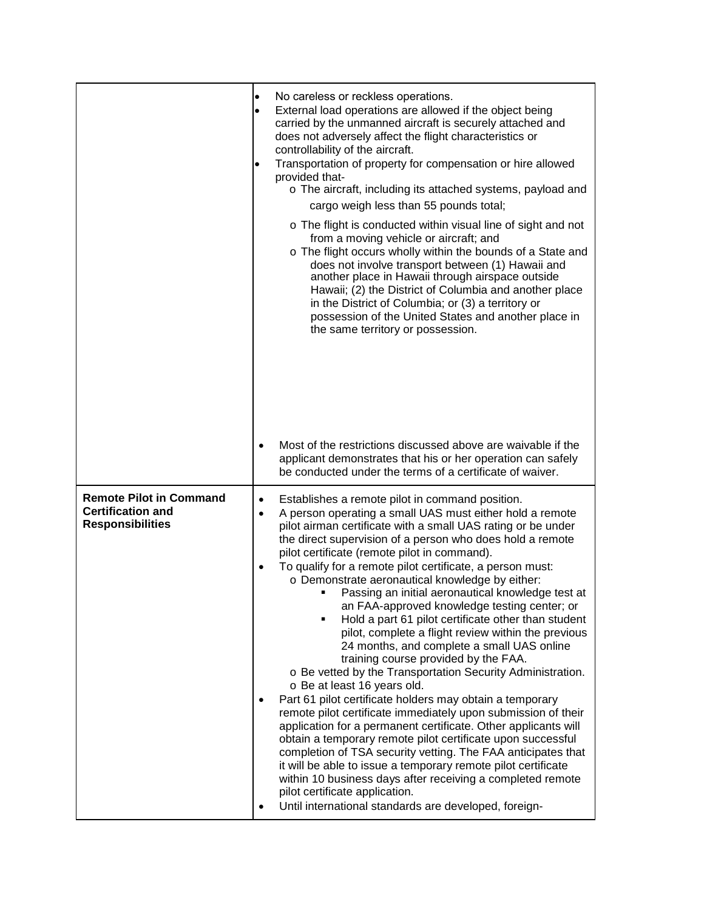|                                                                                       | $\bullet$                           | No careless or reckless operations.<br>External load operations are allowed if the object being<br>carried by the unmanned aircraft is securely attached and<br>does not adversely affect the flight characteristics or<br>controllability of the aircraft.<br>Transportation of property for compensation or hire allowed<br>provided that-<br>o The aircraft, including its attached systems, payload and<br>cargo weigh less than 55 pounds total;<br>o The flight is conducted within visual line of sight and not<br>from a moving vehicle or aircraft; and<br>o The flight occurs wholly within the bounds of a State and<br>does not involve transport between (1) Hawaii and<br>another place in Hawaii through airspace outside<br>Hawaii; (2) the District of Columbia and another place<br>in the District of Columbia; or (3) a territory or<br>possession of the United States and another place in<br>the same territory or possession.                                                                                                                                                                                                                                                                                                                                                                                                                  |
|---------------------------------------------------------------------------------------|-------------------------------------|------------------------------------------------------------------------------------------------------------------------------------------------------------------------------------------------------------------------------------------------------------------------------------------------------------------------------------------------------------------------------------------------------------------------------------------------------------------------------------------------------------------------------------------------------------------------------------------------------------------------------------------------------------------------------------------------------------------------------------------------------------------------------------------------------------------------------------------------------------------------------------------------------------------------------------------------------------------------------------------------------------------------------------------------------------------------------------------------------------------------------------------------------------------------------------------------------------------------------------------------------------------------------------------------------------------------------------------------------------------------|
|                                                                                       |                                     | Most of the restrictions discussed above are waivable if the<br>applicant demonstrates that his or her operation can safely<br>be conducted under the terms of a certificate of waiver.                                                                                                                                                                                                                                                                                                                                                                                                                                                                                                                                                                                                                                                                                                                                                                                                                                                                                                                                                                                                                                                                                                                                                                                |
| <b>Remote Pilot in Command</b><br><b>Certification and</b><br><b>Responsibilities</b> | $\bullet$<br>$\bullet$<br>$\bullet$ | Establishes a remote pilot in command position.<br>A person operating a small UAS must either hold a remote<br>pilot airman certificate with a small UAS rating or be under<br>the direct supervision of a person who does hold a remote<br>pilot certificate (remote pilot in command).<br>To qualify for a remote pilot certificate, a person must:<br>o Demonstrate aeronautical knowledge by either:<br>Passing an initial aeronautical knowledge test at<br>an FAA-approved knowledge testing center; or<br>Hold a part 61 pilot certificate other than student<br>pilot, complete a flight review within the previous<br>24 months, and complete a small UAS online<br>training course provided by the FAA.<br>o Be vetted by the Transportation Security Administration.<br>o Be at least 16 years old.<br>Part 61 pilot certificate holders may obtain a temporary<br>remote pilot certificate immediately upon submission of their<br>application for a permanent certificate. Other applicants will<br>obtain a temporary remote pilot certificate upon successful<br>completion of TSA security vetting. The FAA anticipates that<br>it will be able to issue a temporary remote pilot certificate<br>within 10 business days after receiving a completed remote<br>pilot certificate application.<br>Until international standards are developed, foreign- |